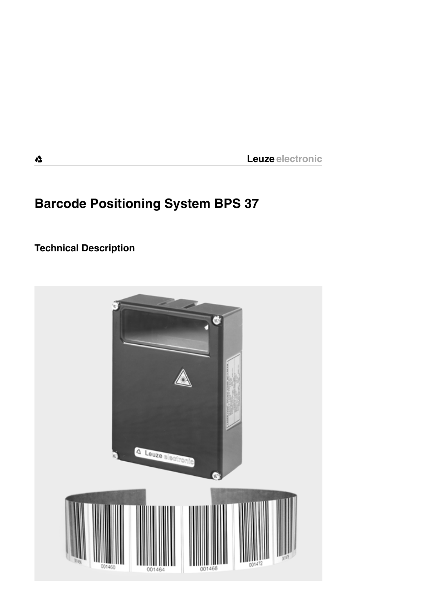# **Barcode Positioning System BPS 37**

**Technical Description**

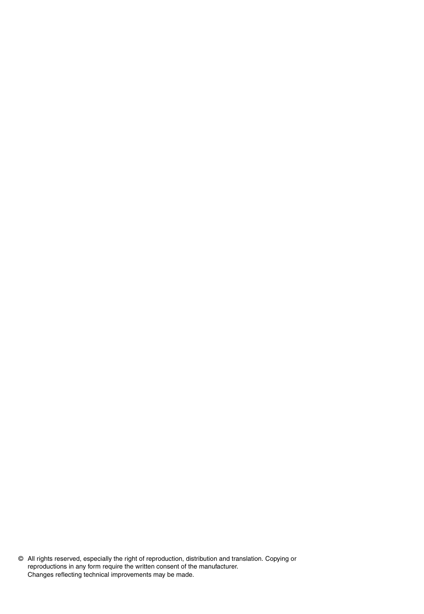© All rights reserved, especially the right of reproduction, distribution and translation. Copying or reproductions in any form require the written consent of the manufacturer. Changes reflecting technical improvements may be made.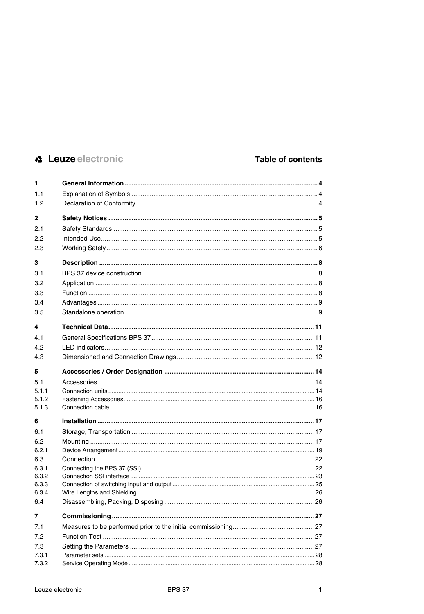| 1              |  |
|----------------|--|
| 1.1            |  |
| 1.2            |  |
| 2              |  |
| 2.1            |  |
| 2.2            |  |
| 2.3            |  |
| 3              |  |
| 3.1            |  |
| 3.2            |  |
| 3.3            |  |
| 3.4            |  |
| 3.5            |  |
| 4              |  |
| 4.1            |  |
| 4.2            |  |
| 4.3            |  |
| 5              |  |
| 5.1            |  |
| 5.1.1          |  |
| 5.1.2<br>5.1.3 |  |
|                |  |
| 6<br>6.1       |  |
| 6.2            |  |
| 6.2.1          |  |
| 6.3            |  |
| 6.3.1          |  |
| 6.3.2          |  |
| 6.3.3<br>6.3.4 |  |
| 6.4            |  |
| 7              |  |
| 7.1            |  |
| 7.2            |  |
| 7.3            |  |
| 7.3.1          |  |
| 7.3.2          |  |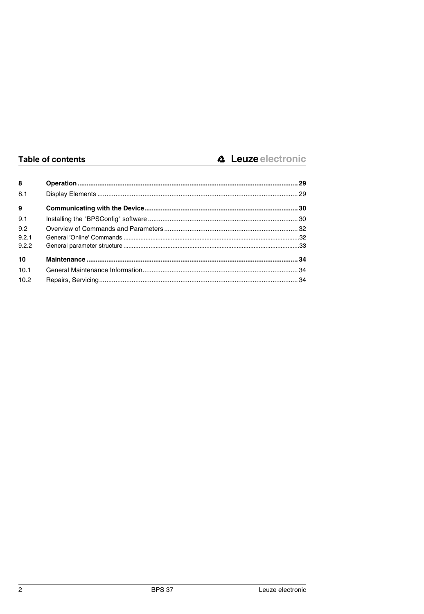| 8     |  |
|-------|--|
| 8.1   |  |
| 9     |  |
| 9.1   |  |
| 9.2   |  |
| 9.2.1 |  |
| 9.2.2 |  |
| 10    |  |
| 10.1  |  |
| 10.2  |  |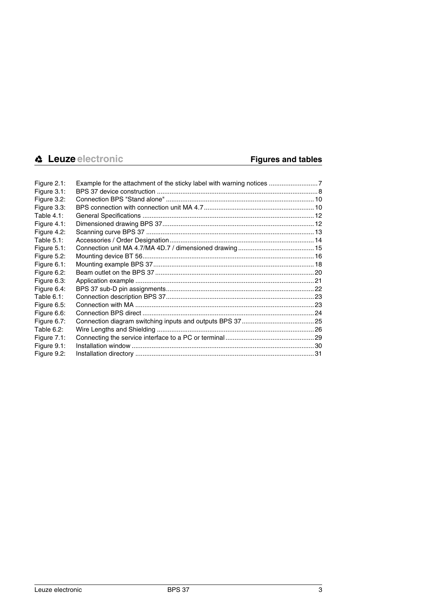| Figure 2.1:    |  |
|----------------|--|
| Figure 3.1:    |  |
| Figure 3.2:    |  |
| Figure 3.3:    |  |
| Table $4.1$ :  |  |
| Figure $4.1$ : |  |
| Figure 4.2:    |  |
| Table 5.1:     |  |
| Figure $5.1$ : |  |
| Figure 5.2:    |  |
| Figure 6.1:    |  |
| Figure 6.2:    |  |
| Figure 6.3:    |  |
| Figure 6.4:    |  |
| Table 6.1:     |  |
| Figure 6.5:    |  |
| Figure 6.6:    |  |
| Figure 6.7:    |  |
| Table 6.2:     |  |
| Figure 7.1:    |  |
| Figure 9.1:    |  |
| Figure 9.2:    |  |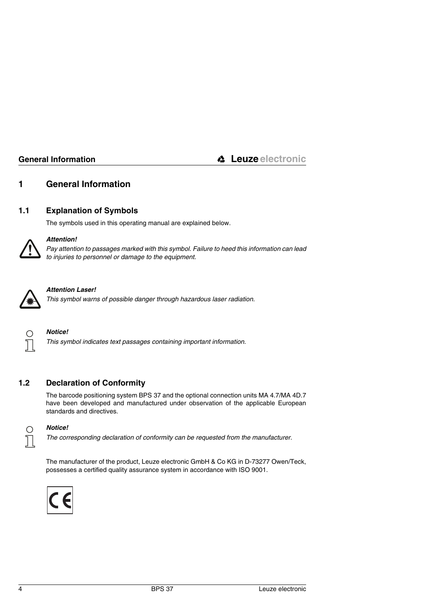# <span id="page-5-0"></span>**1 General Information**

# <span id="page-5-1"></span>**1.1 Explanation of Symbols**

The symbols used in this operating manual are explained below.



# *Attention!*

*Pay attention to passages marked with this symbol. Failure to heed this information can lead to injuries to personnel or damage to the equipment.* 



# *Attention Laser!*

*This symbol warns of possible danger through hazardous laser radiation.*



### *Notice!*

*This symbol indicates text passages containing important information.*

# <span id="page-5-2"></span>**1.2 Declaration of Conformity**

The barcode positioning system BPS 37 and the optional connection units MA 4.7/MA 4D.7 have been developed and manufactured under observation of the applicable European standards and directives.



### *Notice!*

*The corresponding declaration of conformity can be requested from the manufacturer.*

The manufacturer of the product, Leuze electronic GmbH & Co KG in D-73277 Owen/Teck, possesses a certified quality assurance system in accordance with ISO 9001.

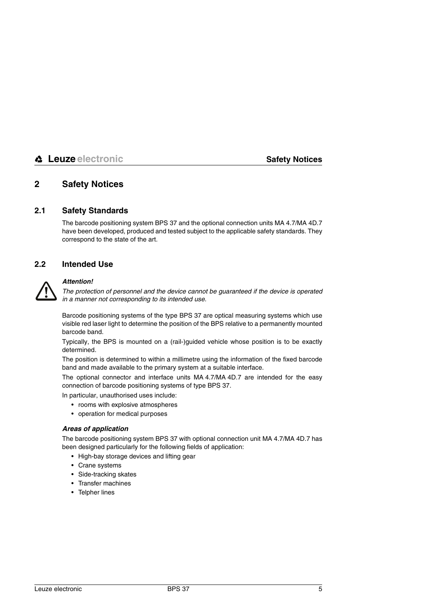# <span id="page-6-0"></span>**2 Safety Notices**

# <span id="page-6-1"></span>**2.1 Safety Standards**

The barcode positioning system BPS 37 and the optional connection units MA 4.7/MA 4D.7 have been developed, produced and tested subject to the applicable safety standards. They correspond to the state of the art.

# <span id="page-6-2"></span>**2.2 Intended Use**



### *Attention!*

*The protection of personnel and the device cannot be guaranteed if the device is operated in a manner not corresponding to its intended use.*

Barcode positioning systems of the type BPS 37 are optical measuring systems which use visible red laser light to determine the position of the BPS relative to a permanently mounted barcode band.

Typically, the BPS is mounted on a (rail-)guided vehicle whose position is to be exactly determined.

The position is determined to within a millimetre using the information of the fixed barcode band and made available to the primary system at a suitable interface.

The optional connector and interface units MA 4.7/MA 4D.7 are intended for the easy connection of barcode positioning systems of type BPS 37.

In particular, unauthorised uses include:

- rooms with explosive atmospheres
- operation for medical purposes

### *Areas of application*

The barcode positioning system BPS 37 with optional connection unit MA 4.7/MA 4D.7 has been designed particularly for the following fields of application:

- High-bay storage devices and lifting gear
- Crane systems
- Side-tracking skates
- Transfer machines
- Telpher lines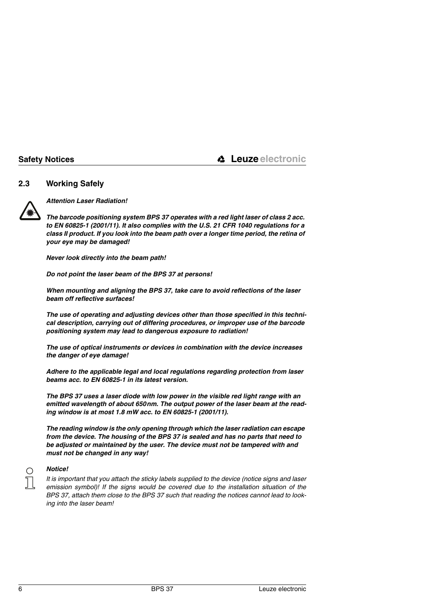# <span id="page-7-0"></span>**2.3 Working Safely**



*Attention Laser Radiation!*

*The barcode positioning system BPS 37 operates with a red light laser of class 2 acc. to EN 60825-1 (2001/11). It also complies with the U.S. 21 CFR 1040 regulations for a class II product. If you look into the beam path over a longer time period, the retina of your eye may be damaged!* 

*Never look directly into the beam path!* 

*Do not point the laser beam of the BPS 37 at persons!*

*When mounting and aligning the BPS 37, take care to avoid reflections of the laser beam off reflective surfaces!* 

*The use of operating and adjusting devices other than those specified in this technical description, carrying out of differing procedures, or improper use of the barcode positioning system may lead to dangerous exposure to radiation!* 

*The use of optical instruments or devices in combination with the device increases the danger of eye damage!*

*Adhere to the applicable legal and local regulations regarding protection from laser beams acc. to EN 60825-1 in its latest version.*

*The BPS 37 uses a laser diode with low power in the visible red light range with an emitted wavelength of about 650nm. The output power of the laser beam at the reading window is at most 1.8 mW acc. to EN 60825-1 (2001/11).*

*The reading window is the only opening through which the laser radiation can escape from the device. The housing of the BPS 37 is sealed and has no parts that need to be adjusted or maintained by the user. The device must not be tampered with and must not be changed in any way!*



### *Notice!*

*It is important that you attach the sticky labels supplied to the device (notice signs and laser emission symbol)! If the signs would be covered due to the installation situation of the BPS 37, attach them close to the BPS 37 such that reading the notices cannot lead to looking into the laser beam!*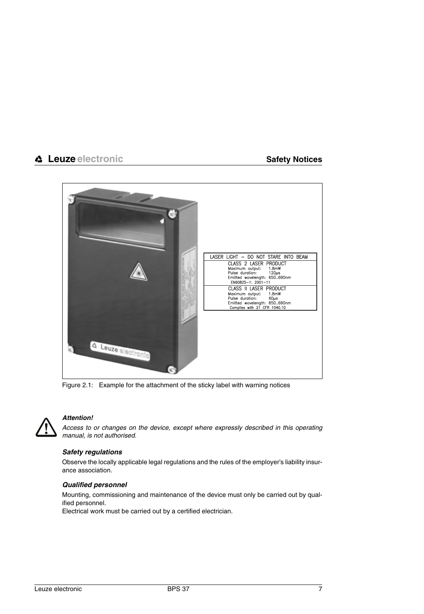

Figure 2.1: Example for the attachment of the sticky label with warning notices



### <span id="page-8-0"></span>*Attention!*

*Access to or changes on the device, except where expressly described in this operating manual, is not authorised.*

### *Safety regulations*

Observe the locally applicable legal regulations and the rules of the employer's liability insurance association.

### *Qualified personnel*

Mounting, commissioning and maintenance of the device must only be carried out by qualified personnel.

Electrical work must be carried out by a certified electrician.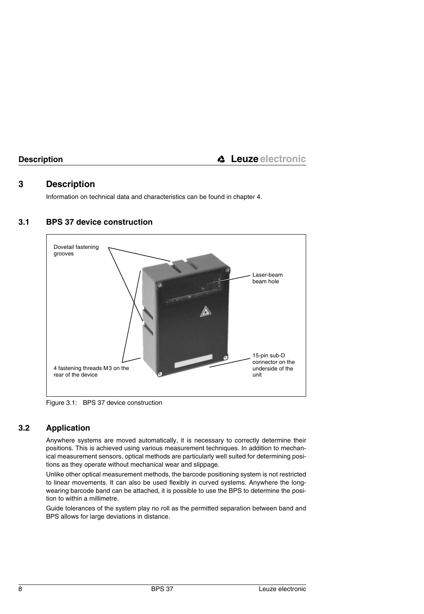# <span id="page-9-0"></span>**3 Description**

Information on technical data and characteristics can be found in [chapter 4.](#page-12-0)



# <span id="page-9-1"></span>**3.1 BPS 37 device construction**

<span id="page-9-3"></span>Figure 3.1: BPS 37 device construction

# <span id="page-9-2"></span>**3.2 Application**

Anywhere systems are moved automatically, it is necessary to correctly determine their positions. This is achieved using various measurement techniques. In addition to mechanical measurement sensors, optical methods are particularly well suited for determining positions as they operate without mechanical wear and slippage.

Unlike other optical measurement methods, the barcode positioning system is not restricted to linear movements. It can also be used flexibly in curved systems. Anywhere the longwearing barcode band can be attached, it is possible to use the BPS to determine the position to within a millimetre.

Guide tolerances of the system play no roll as the permitted separation between band and BPS allows for large deviations in distance.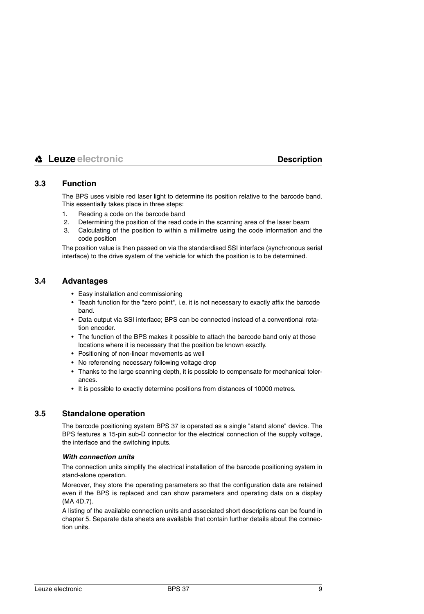# <span id="page-10-0"></span>**3.3 Function**

The BPS uses visible red laser light to determine its position relative to the barcode band. This essentially takes place in three steps:

- 1. Reading a code on the barcode band
- 2. Determining the position of the read code in the scanning area of the laser beam
- 3. Calculating of the position to within a millimetre using the code information and the code position

The position value is then passed on via the standardised SSI interface (synchronous serial interface) to the drive system of the vehicle for which the position is to be determined.

# <span id="page-10-1"></span>**3.4 Advantages**

- Easy installation and commissioning
- Teach function for the "zero point", i.e. it is not necessary to exactly affix the barcode band.
- Data output via SSI interface; BPS can be connected instead of a conventional rotation encoder.
- The function of the BPS makes it possible to attach the barcode band only at those locations where it is necessary that the position be known exactly.
- Positioning of non-linear movements as well
- No referencing necessary following voltage drop
- Thanks to the large scanning depth, it is possible to compensate for mechanical tolerances.
- It is possible to exactly determine positions from distances of 10000 metres.

# <span id="page-10-2"></span>**3.5 Standalone operation**

The barcode positioning system BPS 37 is operated as a single "stand alone" device. The BPS features a 15-pin sub-D connector for the electrical connection of the supply voltage, the interface and the switching inputs.

### *With connection units*

The connection units simplify the electrical installation of the barcode positioning system in stand-alone operation.

Moreover, they store the operating parameters so that the configuration data are retained even if the BPS is replaced and can show parameters and operating data on a display (MA 4D.7).

A listing of the available connection units and associated short descriptions can be found in [chapter 5.](#page-15-0) Separate data sheets are available that contain further details about the connection units.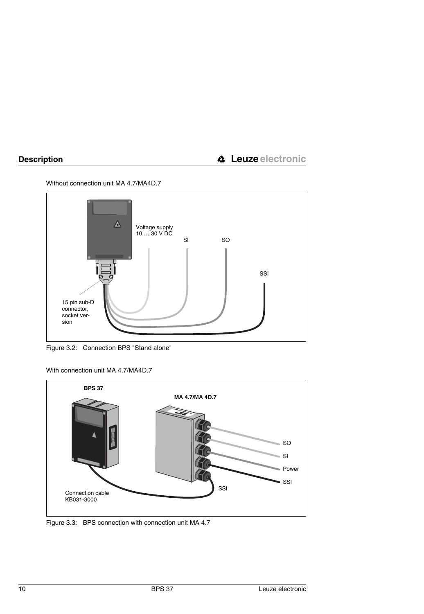Without connection unit MA 4.7/MA4D.7



<span id="page-11-0"></span>Figure 3.2: Connection BPS "Stand alone"

With connection unit MA 4.7/MA4D.7



<span id="page-11-1"></span>Figure 3.3: BPS connection with connection unit MA 4.7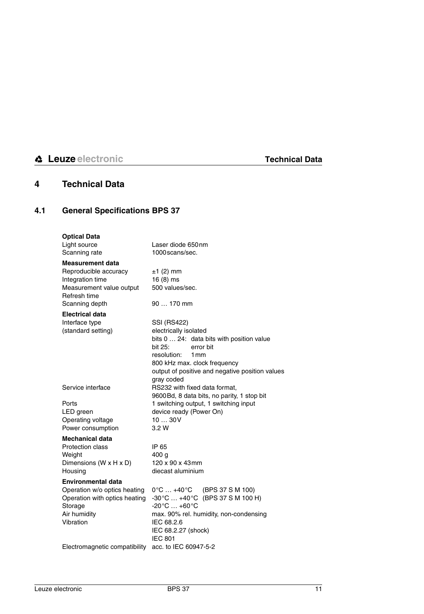# <span id="page-12-0"></span>**4 Technical Data**

# <span id="page-12-1"></span>**4.1 General Specifications BPS 37**

| <b>Optical Data</b><br>Light source<br>Scanning rate                                                                               | Laser diode 650nm<br>1000 scans/sec.                                                                                                                                                                                                            |
|------------------------------------------------------------------------------------------------------------------------------------|-------------------------------------------------------------------------------------------------------------------------------------------------------------------------------------------------------------------------------------------------|
| <b>Measurement data</b><br>Reproducible accuracy<br>Integration time<br>Measurement value output<br>Refresh time                   | $±1$ (2) mm<br>$16(8)$ ms<br>500 values/sec.                                                                                                                                                                                                    |
| Scanning depth                                                                                                                     | 90  170 mm                                                                                                                                                                                                                                      |
| <b>Electrical data</b><br>Interface type<br>(standard setting)                                                                     | <b>SSI (RS422)</b><br>electrically isolated<br>bits 0  24: data bits with position value<br>bit 25:<br>error bit                                                                                                                                |
|                                                                                                                                    | resolution:<br>1mm<br>800 kHz max. clock frequency<br>output of positive and negative position values<br>gray coded                                                                                                                             |
| Service interface                                                                                                                  | RS232 with fixed data format.<br>9600Bd, 8 data bits, no parity, 1 stop bit                                                                                                                                                                     |
| Ports<br>LED green<br>Operating voltage<br>Power consumption                                                                       | 1 switching output, 1 switching input<br>device ready (Power On)<br>1030V<br>3.2 W                                                                                                                                                              |
| <b>Mechanical data</b><br>Protection class<br>Weight<br>Dimensions (W x H x D)                                                     | IP 65<br>400 g<br>120 x 90 x 43mm                                                                                                                                                                                                               |
| Housing                                                                                                                            | diecast aluminium                                                                                                                                                                                                                               |
| <b>Environmental data</b><br>Operation w/o optics heating<br>Operation with optics heating<br>Storage<br>Air humidity<br>Vibration | $0^{\circ}$ C $$ +40 $^{\circ}$ C<br>(BPS 37 S M 100)<br>$-30^{\circ}$ C $+40^{\circ}$ C (BPS 37 S M 100 H)<br>$-20^{\circ}$ C $+60^{\circ}$ C<br>max. 90% rel. humidity, non-condensing<br>IEC 68.2.6<br>IEC 68.2.27 (shock)<br><b>IEC 801</b> |
| Electromagnetic compatibility acc. to IEC 60947-5-2                                                                                |                                                                                                                                                                                                                                                 |
|                                                                                                                                    |                                                                                                                                                                                                                                                 |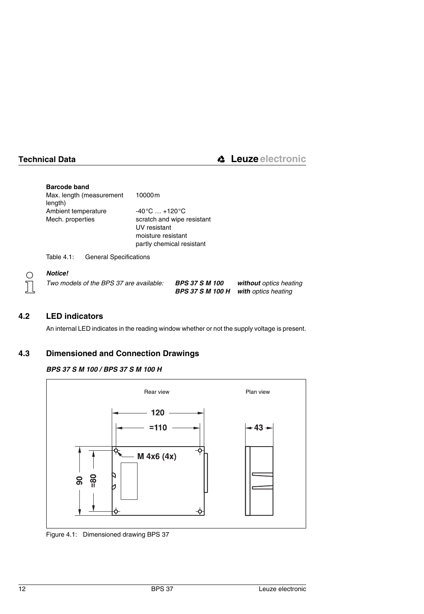| Max. length (measurement | 10000m                            |
|--------------------------|-----------------------------------|
| length)                  |                                   |
| Ambient temperature      | $-40^{\circ}$ C $ +120^{\circ}$ C |
| Mech. properties         | scratch and wipe resistant        |
|                          | UV resistant                      |
|                          | moisture resistant                |
|                          | partly chemical resistant         |

<span id="page-13-2"></span>Table 4.1: General Specifications

# $\frac{1}{2}$

### *Notice!*

| Two models of the BPS 37 are available: | <b>BPS 37 S M 100</b> | without optics heating                      |
|-----------------------------------------|-----------------------|---------------------------------------------|
|                                         |                       | <b>BPS 37 S M 100 H with optics heating</b> |

# <span id="page-13-0"></span>**4.2 LED indicators**

An internal LED indicates in the reading window whether or not the supply voltage is present.

# <span id="page-13-1"></span>**4.3 Dimensioned and Connection Drawings**

# *BPS 37 S M 100 / BPS 37 S M 100 H*



<span id="page-13-3"></span>Figure 4.1: Dimensioned drawing BPS 37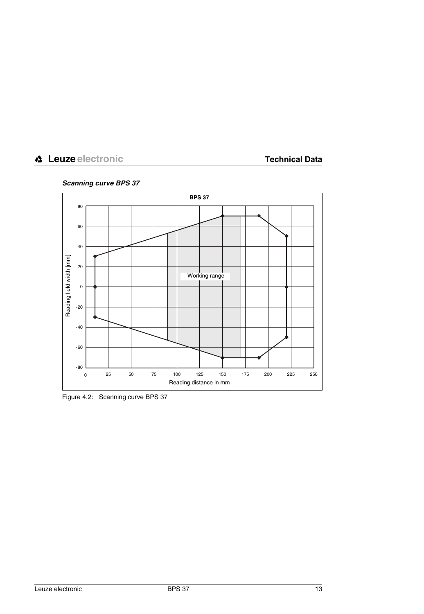*Scanning curve BPS 37* 



<span id="page-14-0"></span>Figure 4.2: Scanning curve BPS 37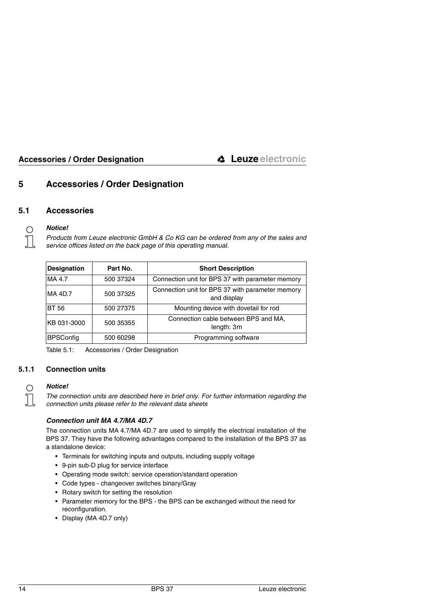# <span id="page-15-0"></span>**5 Accessories / Order Designation**

# <span id="page-15-1"></span>**5.1 Accessories**

### *Notice!*

◯

*Products from Leuze electronic GmbH & Co KG can be ordered from any of the sales and service offices listed on the back page of this operating manual.*

| <b>Designation</b> | Part No.  | <b>Short Description</b>                                        |
|--------------------|-----------|-----------------------------------------------------------------|
| MA 4.7             | 500 37324 | Connection unit for BPS 37 with parameter memory                |
| MA 4D.7            | 500 37325 | Connection unit for BPS 37 with parameter memory<br>and display |
| <b>BT 56</b>       | 500 27375 | Mounting device with dovetail for rod                           |
| KB 031-3000        | 500 35355 | Connection cable between BPS and MA,<br>length: 3m              |
| <b>BPSConfig</b>   | 500 60298 | Programming software                                            |

<span id="page-15-3"></span>Table 5.1: Accessories / Order Designation

# <span id="page-15-2"></span>**5.1.1 Connection units**



# *Notice!*

*The connection units are described here in brief only. For further information regarding the connection units please refer to the relevant data sheets*

### *Connection unit MA 4.7/MA 4D.7*

The connection units MA 4.7/MA 4D.7 are used to simplify the electrical installation of the BPS 37. They have the following advantages compared to the installation of the BPS 37 as a standalone device:

- Terminals for switching inputs and outputs, including supply voltage
- 9-pin sub-D plug for service interface
- Operating mode switch: service operation/standard operation
- Code types changeover switches binary/Gray
- Rotary switch for setting the resolution
- Parameter memory for the BPS the BPS can be exchanged without the need for reconfiguration.
- Display (MA 4D.7 only)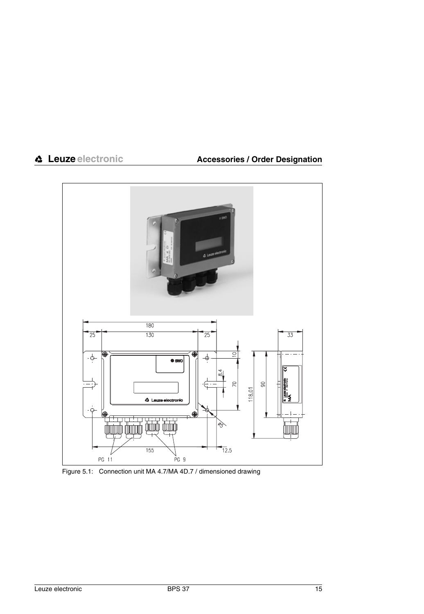

<span id="page-16-0"></span>Figure 5.1: Connection unit MA 4.7/MA 4D.7 / dimensioned drawing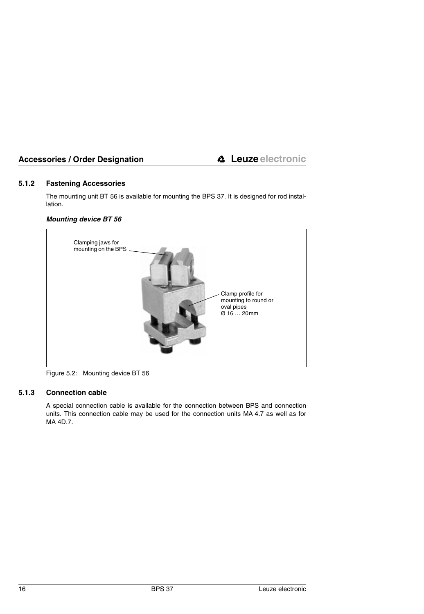# <span id="page-17-0"></span>**5.1.2 Fastening Accessories**

The mounting unit BT 56 is available for mounting the BPS 37. It is designed for rod installation.

# *Mounting device BT 56*



Figure 5.2: Mounting device BT 56

# <span id="page-17-1"></span>**5.1.3 Connection cable**

<span id="page-17-2"></span>A special connection cable is available for the connection between BPS and connection units. This connection cable may be used for the connection units MA 4.7 as well as for MA 4D.7.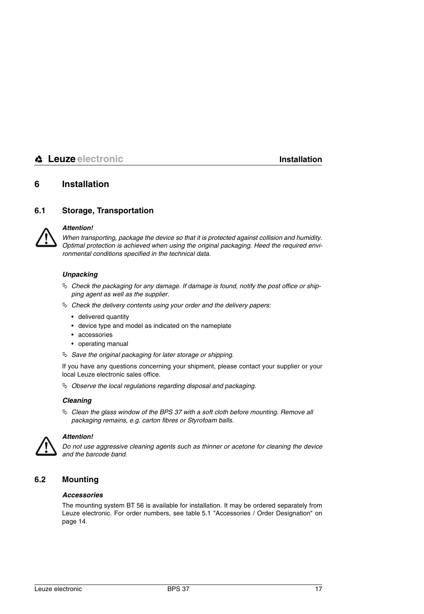# <span id="page-18-0"></span>**6 Installation**

# <span id="page-18-1"></span>**6.1 Storage, Transportation**



## *Attention!*

*When transporting, package the device so that it is protected against collision and humidity. Optimal protection is achieved when using the original packaging. Heed the required environmental conditions specified in the technical data.*

### *Unpacking*

- *Check the packaging for any damage. If damage is found, notify the post office or shipping agent as well as the supplier.*
- *Check the delivery contents using your order and the delivery papers:*
	- delivered quantity
	- device type and model as indicated on the nameplate
	- accessories
	- operating manual
- *Save the original packaging for later storage or shipping.*

If you have any questions concerning your shipment, please contact your supplier or your local Leuze electronic sales office.

*Observe the local regulations regarding disposal and packaging.*

### *Cleaning*

 *Clean the glass window of the BPS 37 with a soft cloth before mounting. Remove all packaging remains, e.g. carton fibres or Styrofoam balls.*



### *Attention!*

*Do not use aggressive cleaning agents such as thinner or acetone for cleaning the device and the barcode band.*

# <span id="page-18-2"></span>**6.2 Mounting**

### *Accessories*

The mounting system BT 56 is available for installation. It may be ordered separately from Leuze electronic. For order numbers, see [table 5.1 "Accessories / Order Designation" on](#page-15-3) [page 14](#page-15-3).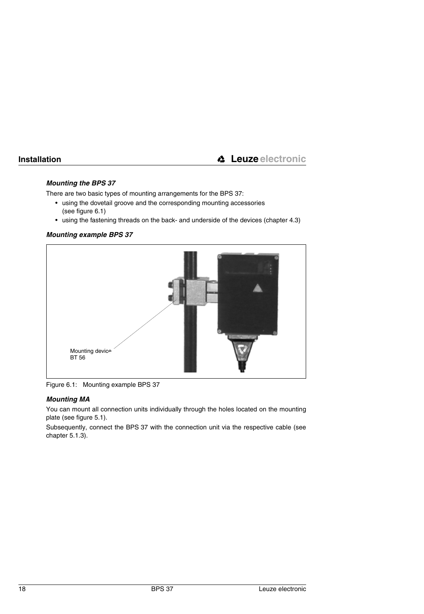# *Mounting the BPS 37*

There are two basic types of mounting arrangements for the BPS 37:

- using the dovetail groove and the corresponding mounting accessories [\(see figure 6.1\)](#page-19-0)
- using the fastening threads on the back- and underside of the devices ([chapter 4.3](#page-13-1))

# *Mounting example BPS 37*



Figure 6.1: Mounting example BPS 37

# <span id="page-19-0"></span>*Mounting MA*

You can mount all connection units individually through the holes located on the mounting plate (see [figure 5.1](#page-16-0)).

Subsequently, connect the BPS 37 with the connection unit via the respective cable (see [chapter 5.1.3](#page-17-1)).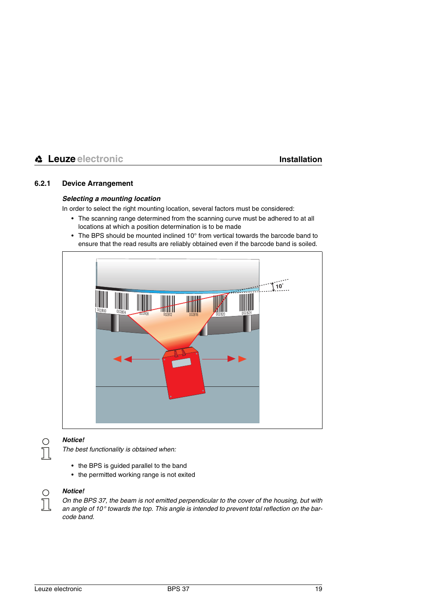# <span id="page-20-0"></span>**6.2.1 Device Arrangement**

### *Selecting a mounting location*

In order to select the right mounting location, several factors must be considered:

- The scanning range determined from the scanning curve must be adhered to at all locations at which a position determination is to be made
- The BPS should be mounted inclined 10° from vertical towards the barcode band to ensure that the read results are reliably obtained even if the barcode band is soiled.





### *Notice!*

*The best functionality is obtained when:*

- the BPS is guided parallel to the band
- the permitted working range is not exited
- 

### *Notice!*

*On the BPS 37, the beam is not emitted perpendicular to the cover of the housing, but with an angle of 10° towards the top. This angle is intended to prevent total reflection on the barcode band.*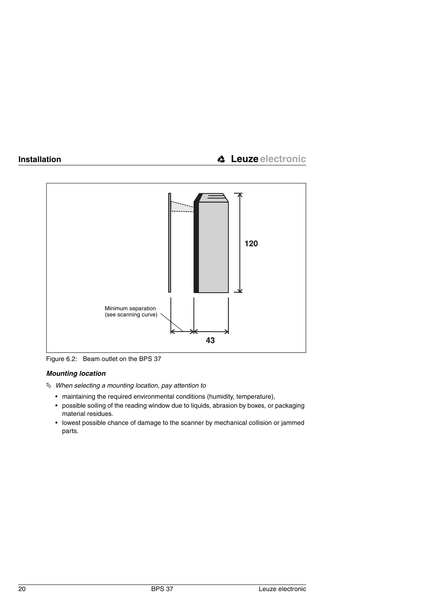

<span id="page-21-0"></span>Figure 6.2: Beam outlet on the BPS 37

# *Mounting location*

*When selecting a mounting location, pay attention to* 

- maintaining the required environmental conditions (humidity, temperature),
- possible soiling of the reading window due to liquids, abrasion by boxes, or packaging material residues.
- lowest possible chance of damage to the scanner by mechanical collision or jammed parts.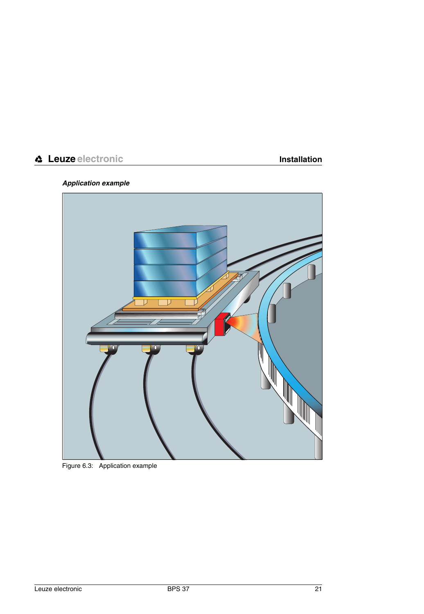# *Application example*

<span id="page-22-0"></span>

Figure 6.3: Application example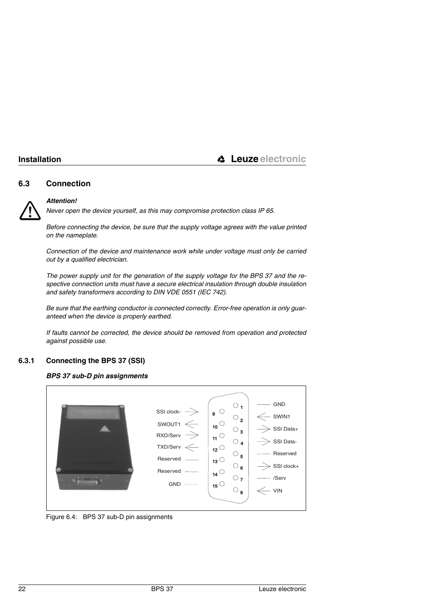# <span id="page-23-0"></span>**6.3 Connection**



### *Attention!*

*Never open the device yourself, as this may compromise protection class IP 65.*

*Before connecting the device, be sure that the supply voltage agrees with the value printed on the nameplate.*

*Connection of the device and maintenance work while under voltage must only be carried out by a qualified electrician.* 

*The power supply unit for the generation of the supply voltage for the BPS 37 and the respective connection units must have a secure electrical insulation through double insulation and safety transformers according to DIN VDE 0551 (IEC 742).*

*Be sure that the earthing conductor is connected correctly. Error-free operation is only guaranteed when the device is properly earthed.*

*If faults cannot be corrected, the device should be removed from operation and protected against possible use.*

# <span id="page-23-1"></span>**6.3.1 Connecting the BPS 37 (SSI)**





<span id="page-23-2"></span>Figure 6.4: BPS 37 sub-D pin assignments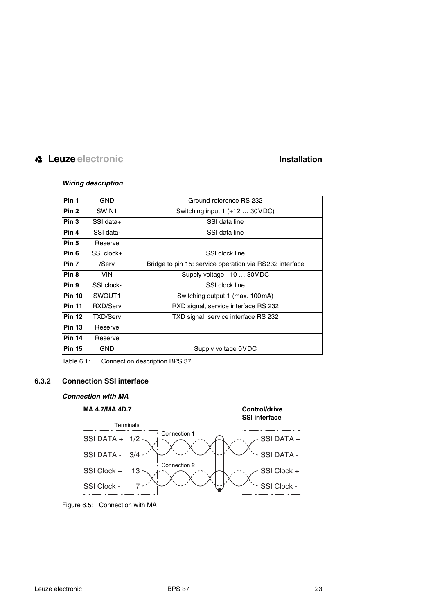## *Wiring description*

| Pin 1            | <b>GND</b>      | Ground reference RS 232                                 |  |
|------------------|-----------------|---------------------------------------------------------|--|
| Pin <sub>2</sub> | SWIN1           | Switching input $1 (+12  30 VDC)$                       |  |
| Pin <sub>3</sub> | SSI data+       | SSI data line                                           |  |
| Pin 4            | SSI data-       | SSI data line                                           |  |
| Pin <sub>5</sub> | Reserve         |                                                         |  |
| Pin <sub>6</sub> | SSI clock+      | SSI clock line                                          |  |
| Pin <sub>7</sub> | /Serv           | Bridge to pin 15: service operation via RS232 interface |  |
| Pin <sub>8</sub> | <b>VIN</b>      | Supply voltage $+10$ 30 VDC                             |  |
| Pin 9            | SSI clock-      | SSI clock line                                          |  |
| <b>Pin 10</b>    | SWOUT1          | Switching output 1 (max. 100 mA)                        |  |
| <b>Pin 11</b>    | RXD/Serv        | RXD signal, service interface RS 232                    |  |
| <b>Pin 12</b>    | <b>TXD/Serv</b> | TXD signal, service interface RS 232                    |  |
| <b>Pin 13</b>    | Reserve         |                                                         |  |
| <b>Pin 14</b>    | Reserve         |                                                         |  |
| <b>Pin 15</b>    | <b>GND</b>      | Supply voltage 0VDC                                     |  |

<span id="page-24-1"></span>Table 6.1: Connection description BPS 37

# <span id="page-24-0"></span>**6.3.2 Connection SSI interface**

### *Connection with MA*



<span id="page-24-2"></span>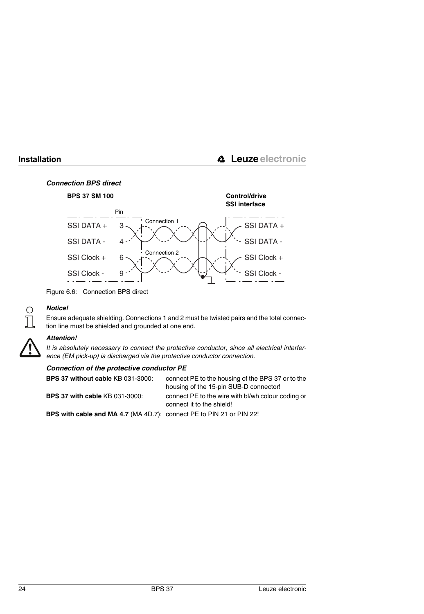# *Connection BPS direct*



<span id="page-25-0"></span>Figure 6.6: Connection BPS direct



# *Notice!*

Ensure adequate shielding. Connections 1 and 2 must be twisted pairs and the total connection line must be shielded and grounded at one end.

### *Attention!*

*It is absolutely necessary to connect the protective conductor, since all electrical interference (EM pick-up) is discharged via the protective conductor connection.*

| BPS 37 without cable KB 031-3000:                                    | connect PE to the housing of the BPS 37 or to the<br>housing of the 15-pin SUB-D connector! |
|----------------------------------------------------------------------|---------------------------------------------------------------------------------------------|
| <b>BPS 37 with cable KB 031-3000:</b>                                | connect PE to the wire with bl/wh colour coding or<br>connect it to the shield!             |
| BPS with cable and MA 4.7 (MA 4D.7): connect PE to PIN 21 or PIN 22! |                                                                                             |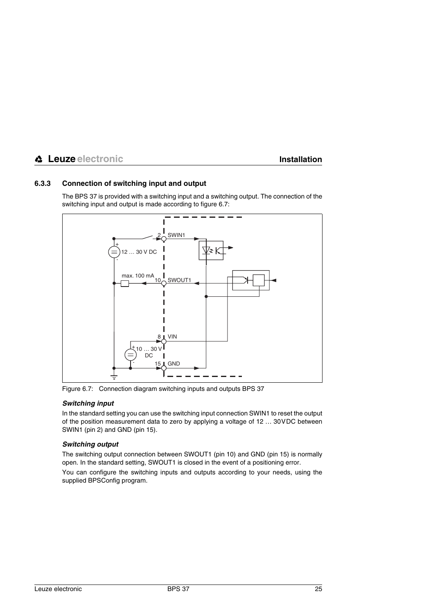# <span id="page-26-0"></span>**6.3.3 Connection of switching input and output**

The BPS 37 is provided with a switching input and a switching output. The connection of the switching input and output is made according to [figure 6.7:](#page-26-1)



<span id="page-26-1"></span>Figure 6.7: Connection diagram switching inputs and outputs BPS 37

# *Switching input*

In the standard setting you can use the switching input connection SWIN1 to reset the output of the position measurement data to zero by applying a voltage of 12 … 30VDC between SWIN1 (pin 2) and GND (pin 15).

# *Switching output*

The switching output connection between SWOUT1 (pin 10) and GND (pin 15) is normally open. In the standard setting, SWOUT1 is closed in the event of a positioning error.

You can configure the switching inputs and outputs according to your needs, using the supplied BPSConfig program.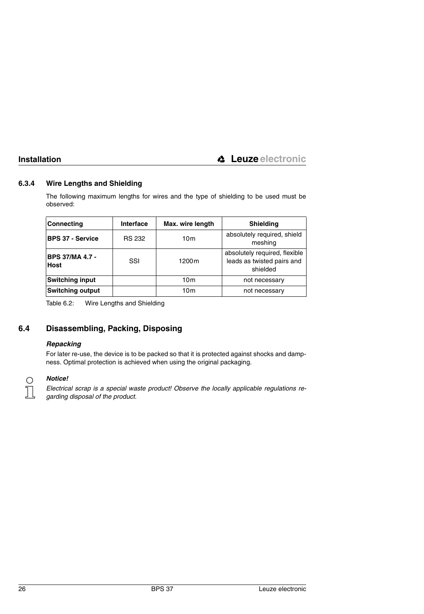# <span id="page-27-0"></span>**6.3.4 Wire Lengths and Shielding**

The following maximum lengths for wires and the type of shielding to be used must be observed:

| <b>Connecting</b>                     | Interface     | Max. wire length  | Shielding                                                               |
|---------------------------------------|---------------|-------------------|-------------------------------------------------------------------------|
| <b>BPS 37 - Service</b>               | <b>RS 232</b> | 10 <sub>m</sub>   | absolutely required, shield<br>meshing                                  |
| <b>BPS 37/MA 4.7 -</b><br><b>Host</b> | SSI           | 1200 <sub>m</sub> | absolutely required, flexible<br>leads as twisted pairs and<br>shielded |
| <b>Switching input</b>                |               | 10 <sub>m</sub>   | not necessary                                                           |
| <b>Switching output</b>               |               | 10 <sub>m</sub>   | not necessary                                                           |

<span id="page-27-2"></span>Table 6.2: Wire Lengths and Shielding

# <span id="page-27-1"></span>**6.4 Disassembling, Packing, Disposing**

## *Repacking*

For later re-use, the device is to be packed so that it is protected against shocks and dampness. Optimal protection is achieved when using the original packaging.

# *Notice!*

*Electrical scrap is a special waste product! Observe the locally applicable regulations regarding disposal of the product.*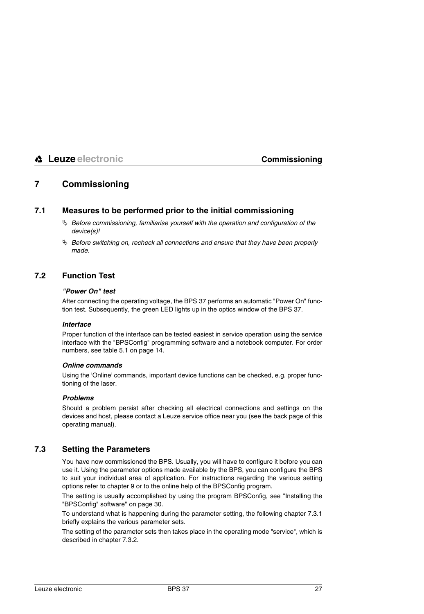# <span id="page-28-0"></span>**7 Commissioning**

# <span id="page-28-1"></span>**7.1 Measures to be performed prior to the initial commissioning**

- *Before commissioning, familiarise yourself with the operation and configuration of the device(s)!*
- *Before switching on, recheck all connections and ensure that they have been properly made.*

# <span id="page-28-2"></span>**7.2 Function Test**

# *"Power On" test*

After connecting the operating voltage, the BPS 37 performs an automatic "Power On" function test. Subsequently, the green LED lights up in the optics window of the BPS 37.

### *Interface*

Proper function of the interface can be tested easiest in service operation using the service interface with the "BPSConfig" programming software and a notebook computer. For order numbers, see [table 5.1 on page 14](#page-15-3).

### <span id="page-28-4"></span>*Online commands*

Using the 'Online' commands, important device functions can be checked, e.g. proper functioning of the laser.

### *Problems*

Should a problem persist after checking all electrical connections and settings on the devices and host, please contact a Leuze service office near you (see the back page of this operating manual).

# <span id="page-28-3"></span>**7.3 Setting the Parameters**

You have now commissioned the BPS. Usually, you will have to configure it before you can use it. Using the parameter options made available by the BPS, you can configure the BPS to suit your individual area of application. For instructions regarding the various setting options refer to [chapter 9](#page-31-0) or to the online help of the BPSConfig program.

The setting is usually accomplished by using the program BPSConfig, see ["Installing the](#page-31-1) ["BPSConfig" software" on page 30.](#page-31-1)

To understand what is happening during the parameter setting, the following [chapter 7.3.1](#page-29-0) briefly explains the various parameter sets.

The setting of the parameter sets then takes place in the operating mode "service", which is described in [chapter 7.3.2.](#page-29-1)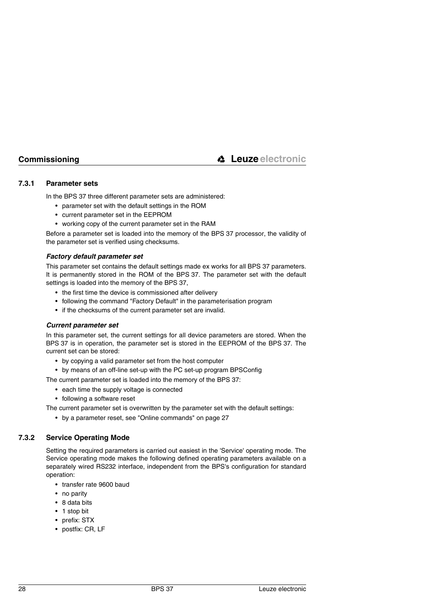# <span id="page-29-0"></span>**7.3.1 Parameter sets**

In the BPS 37 three different parameter sets are administered:

- parameter set with the default settings in the ROM
- current parameter set in the EEPROM
- working copy of the current parameter set in the RAM

Before a parameter set is loaded into the memory of the BPS 37 processor, the validity of the parameter set is verified using checksums.

### *Factory default parameter set*

This parameter set contains the default settings made ex works for all BPS 37 parameters. It is permanently stored in the ROM of the BPS 37. The parameter set with the default settings is loaded into the memory of the BPS 37,

- the first time the device is commissioned after delivery
- following the command "Factory Default" in the parameterisation program
- if the checksums of the current parameter set are invalid.

### *Current parameter set*

In this parameter set, the current settings for all device parameters are stored. When the BPS 37 is in operation, the parameter set is stored in the EEPROM of the BPS 37. The current set can be stored:

- by copying a valid parameter set from the host computer
- by means of an off-line set-up with the PC set-up program BPSConfig

The current parameter set is loaded into the memory of the BPS 37:

- each time the supply voltage is connected
- following a software reset

The current parameter set is overwritten by the parameter set with the default settings:

• by a parameter reset, see ["Online commands" on page 27](#page-28-4)

# <span id="page-29-1"></span>**7.3.2 Service Operating Mode**

Setting the required parameters is carried out easiest in the 'Service' operating mode. The Service operating mode makes the following defined operating parameters available on a separately wired RS232 interface, independent from the BPS's configuration for standard operation:

- transfer rate 9600 baud
- no parity
- 8 data bits
- 1 stop bit
- prefix: STX
- postfix: CR, LF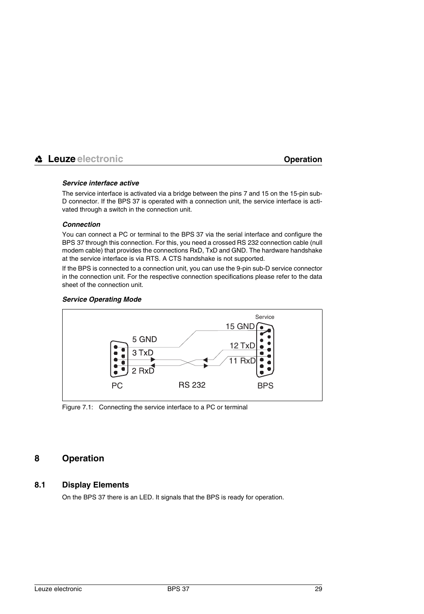### *Service interface active*

The service interface is activated via a bridge between the pins 7 and 15 on the 15-pin sub-D connector. If the BPS 37 is operated with a connection unit, the service interface is activated through a switch in the connection unit.

### *Connection*

You can connect a PC or terminal to the BPS 37 via the serial interface and configure the BPS 37 through this connection. For this, you need a crossed RS 232 connection cable (null modem cable) that provides the connections RxD, TxD and GND. The hardware handshake at the service interface is via RTS. A CTS handshake is not supported.

If the BPS is connected to a connection unit, you can use the 9-pin sub-D service connector in the connection unit. For the respective connection specifications please refer to the data sheet of the connection unit.



## *Service Operating Mode*

<span id="page-30-2"></span>Figure 7.1: Connecting the service interface to a PC or terminal

# <span id="page-30-0"></span>**8 Operation**

# <span id="page-30-1"></span>**8.1 Display Elements**

On the BPS 37 there is an LED. It signals that the BPS is ready for operation.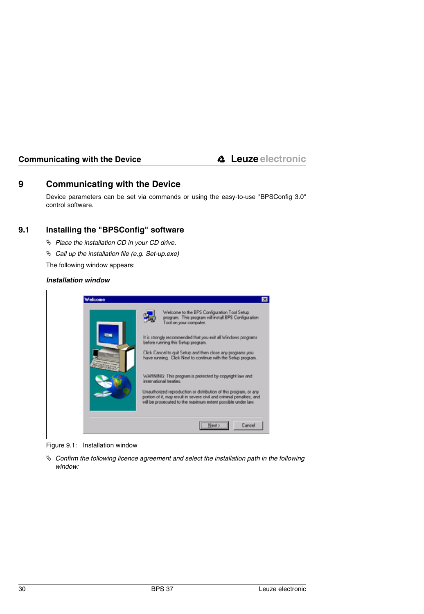# <span id="page-31-0"></span>**9 Communicating with the Device**

Device parameters can be set via commands or using the easy-to-use "BPSConfig 3.0" control software.

# <span id="page-31-1"></span>**9.1 Installing the "BPSConfig" software**

- *Place the installation CD in your CD drive.*
- *Call up the installation file (e.g. Set-up.exe)*

The following window appears:

### *Installation window*

| Welcome | ⊠<br>Welcome to the BPS Configuration Tool Setup<br>program. This program will install BPS Configuration<br>Tool on your computer.                                                                         |
|---------|------------------------------------------------------------------------------------------------------------------------------------------------------------------------------------------------------------|
|         | It is strongly recommended that you exit all Windows programs<br>before running this Setup program.                                                                                                        |
|         | Click Cancel to guit Setup and then close any programs you<br>have running. Click Next to continue with the Setup program.                                                                                 |
|         | WARNING: This program is protected by copyright law and<br>international treaties.                                                                                                                         |
|         | Unauthorized reproduction or distribution of this program, or any<br>portion of it, may result in severe civil and criminal penalties, and<br>will be prosecuted to the maximum extent possible under law. |
|         |                                                                                                                                                                                                            |

<span id="page-31-2"></span>Figure 9.1: Installation window

 $\&$  Confirm the following licence agreement and select the installation path in the following *window:*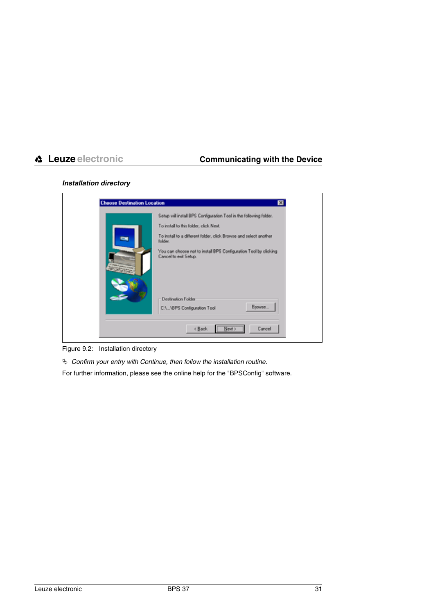# *Installation directory*

| <b>Choose Destination Location</b> | ⊠                                                                                         |
|------------------------------------|-------------------------------------------------------------------------------------------|
|                                    | Setup will install BPS Configuration Tool in the following folder.                        |
|                                    | To install to this folder, click Next.                                                    |
|                                    | To install to a different folder, click Browse and select another<br>folder.              |
| of sales and range                 | You can choose not to install BPS Configuration Tool by clicking<br>Cancel to exit Setup. |
|                                    | Destination Folder                                                                        |
|                                    | Browse<br>C:\\BPS Configuration Tool                                                      |
|                                    | <back<br>Cancel<br/>Next &gt;</back<br>                                                   |

<span id="page-32-0"></span>Figure 9.2: Installation directory

*Confirm your entry with Continue, then follow the installation routine.*

For further information, please see the online help for the "BPSConfig" software.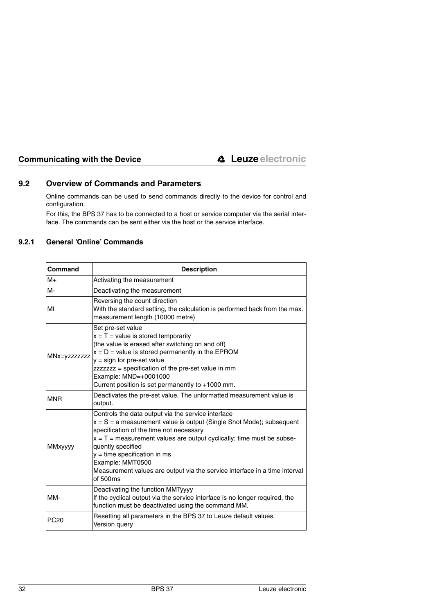# <span id="page-33-0"></span>**9.2 Overview of Commands and Parameters**

Online commands can be used to send commands directly to the device for control and configuration.

For this, the BPS 37 has to be connected to a host or service computer via the serial interface. The commands can be sent either via the host or the service interface.

# <span id="page-33-1"></span>**9.2.1 General 'Online' Commands**

| Command        | <b>Description</b>                                                                                                                                                                                                                                                                                                                                                                                                      |  |
|----------------|-------------------------------------------------------------------------------------------------------------------------------------------------------------------------------------------------------------------------------------------------------------------------------------------------------------------------------------------------------------------------------------------------------------------------|--|
| $M+$           | Activating the measurement                                                                                                                                                                                                                                                                                                                                                                                              |  |
| M-             | Deactivating the measurement                                                                                                                                                                                                                                                                                                                                                                                            |  |
| MI             | Reversing the count direction<br>With the standard setting, the calculation is performed back from the max.<br>measurement length (10000 metre)                                                                                                                                                                                                                                                                         |  |
| MNx=yzzzzzzz   | Set pre-set value<br>$x = T$ = value is stored temporarily<br>(the value is erased after switching on and off)<br>$x = D$ = value is stored permanently in the EPROM<br>$y = sign for pre-set value$<br>zzzzzzz = specification of the pre-set value in mm<br>Example: MND=+0001000<br>Current position is set permanently to +1000 mm.                                                                                 |  |
| <b>MNR</b>     | Deactivates the pre-set value. The unformatted measurement value is<br>output.                                                                                                                                                                                                                                                                                                                                          |  |
| <b>MMxyyyy</b> | Controls the data output via the service interface<br>$x = S = a$ measurement value is output (Single Shot Mode); subsequent<br>specification of the time not necessary<br>$x = T$ = measurement values are output cyclically; time must be subse-<br>quently specified<br>$y =$ time specification in ms<br>Example: MMT0500<br>Measurement values are output via the service interface in a time interval<br>of 500ms |  |
| MM-            | Deactivating the function MMTyyyy<br>If the cyclical output via the service interface is no longer required, the<br>function must be deactivated using the command MM.                                                                                                                                                                                                                                                  |  |
| <b>PC20</b>    | Resetting all parameters in the BPS 37 to Leuze default values.<br>Version query                                                                                                                                                                                                                                                                                                                                        |  |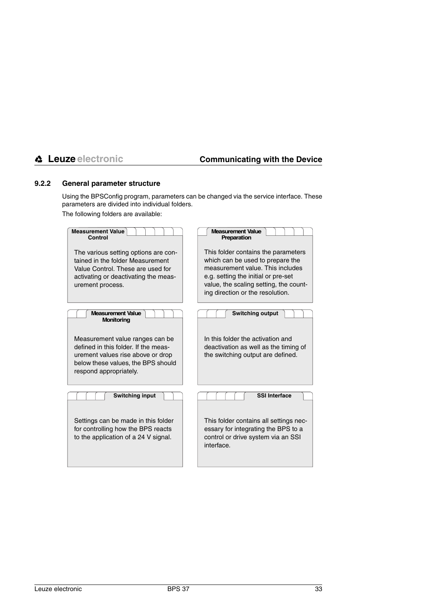# <span id="page-34-0"></span>**9.2.2 General parameter structure**

Using the BPSConfig program, parameters can be changed via the service interface. These parameters are divided into individual folders.

The following folders are available:

| <b>Measurement Value</b><br>Control                                                                                                                                          | <b>Measurement Value</b><br>Preparation                                                                                                                                                                                          |
|------------------------------------------------------------------------------------------------------------------------------------------------------------------------------|----------------------------------------------------------------------------------------------------------------------------------------------------------------------------------------------------------------------------------|
| The various setting options are con-<br>tained in the folder Measurement<br>Value Control. These are used for<br>activating or deactivating the meas-<br>urement process.    | This folder contains the parameters<br>which can be used to prepare the<br>measurement value. This includes<br>e.g. setting the initial or pre-set<br>value, the scaling setting, the count-<br>ing direction or the resolution. |
| <b>Measurement Value</b><br><b>Monitoring</b>                                                                                                                                | <b>Switching output</b>                                                                                                                                                                                                          |
| Measurement value ranges can be<br>defined in this folder. If the meas-<br>urement values rise above or drop<br>below these values, the BPS should<br>respond appropriately. | In this folder the activation and<br>deactivation as well as the timing of<br>the switching output are defined.                                                                                                                  |
| <b>Switching input</b>                                                                                                                                                       | <b>SSI Interface</b>                                                                                                                                                                                                             |
| Settings can be made in this folder<br>for controlling how the BPS reacts<br>to the application of a 24 V signal.                                                            | This folder contains all settings nec-<br>essary for integrating the BPS to a<br>control or drive system via an SSI<br>interface.                                                                                                |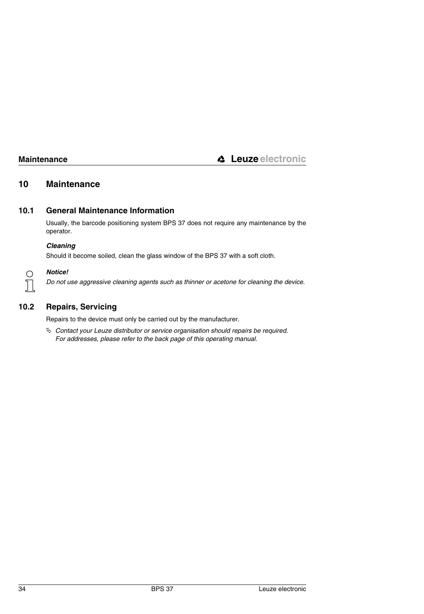# <span id="page-35-0"></span>**10 Maintenance**

# <span id="page-35-1"></span>**10.1 General Maintenance Information**

Usually, the barcode positioning system BPS 37 does not require any maintenance by the operator.

# *Cleaning*

Should it become soiled, clean the glass window of the BPS 37 with a soft cloth.



### *Notice!*

*Do not use aggressive cleaning agents such as thinner or acetone for cleaning the device.*

# <span id="page-35-2"></span>**10.2 Repairs, Servicing**

Repairs to the device must only be carried out by the manufacturer.

 *Contact your Leuze distributor or service organisation should repairs be required. For addresses, please refer to the back page of this operating manual.*